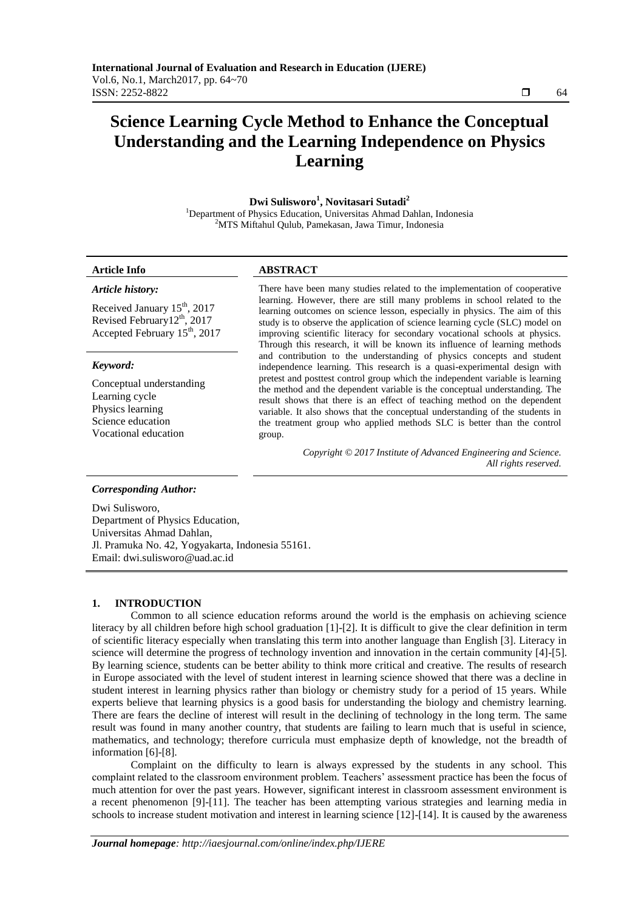# **Science Learning Cycle Method to Enhance the Conceptual Understanding and the Learning Independence on Physics Learning**

**Dwi Sulisworo<sup>1</sup> , Novitasari Sutadi<sup>2</sup>**

<sup>1</sup>Department of Physics Education, Universitas Ahmad Dahlan, Indonesia <sup>2</sup>MTS Miftahul Qulub, Pamekasan, Jawa Timur, Indonesia

#### **Article Info ABSTRACT**

#### *Article history:*

Received January  $15<sup>th</sup>$ , 2017 Revised February12<sup>th</sup>, 2017 Accepted February 15<sup>th</sup>, 2017

#### *Keyword:*

Conceptual understanding Learning cycle Physics learning Science education Vocational education

There have been many studies related to the implementation of cooperative learning. However, there are still many problems in school related to the learning outcomes on science lesson, especially in physics. The aim of this study is to observe the application of science learning cycle (SLC) model on improving scientific literacy for secondary vocational schools at physics. Through this research, it will be known its influence of learning methods and contribution to the understanding of physics concepts and student independence learning. This research is a quasi-experimental design with pretest and posttest control group which the independent variable is learning the method and the dependent variable is the conceptual understanding. The result shows that there is an effect of teaching method on the dependent variable. It also shows that the conceptual understanding of the students in the treatment group who applied methods SLC is better than the control group.

> *Copyright © 2017 Institute of Advanced Engineering and Science. All rights reserved.*

#### *Corresponding Author:*

Dwi Sulisworo, Department of Physics Education, Universitas Ahmad Dahlan, Jl. Pramuka No. 42, Yogyakarta, Indonesia 55161. Email: dwi.sulisworo@uad.ac.id

#### **1. INTRODUCTION**

Common to all science education reforms around the world is the emphasis on achieving science literacy by all children before high school graduation [1]-[2]. It is difficult to give the clear definition in term of scientific literacy especially when translating this term into another language than English [3]. Literacy in science will determine the progress of technology invention and innovation in the certain community [4]-[5]. By learning science, students can be better ability to think more critical and creative. The results of research in Europe associated with the level of student interest in learning science showed that there was a decline in student interest in learning physics rather than biology or chemistry study for a period of 15 years. While experts believe that learning physics is a good basis for understanding the biology and chemistry learning. There are fears the decline of interest will result in the declining of technology in the long term. The same result was found in many another country, that students are failing to learn much that is useful in science, mathematics, and technology; therefore curricula must emphasize depth of knowledge, not the breadth of information [6]-[8].

Complaint on the difficulty to learn is always expressed by the students in any school. This complaint related to the classroom environment problem. Teachers' assessment practice has been the focus of much attention for over the past years. However, significant interest in classroom assessment environment is a recent phenomenon [9]-[11]. The teacher has been attempting various strategies and learning media in schools to increase student motivation and interest in learning science [12]-[14]. It is caused by the awareness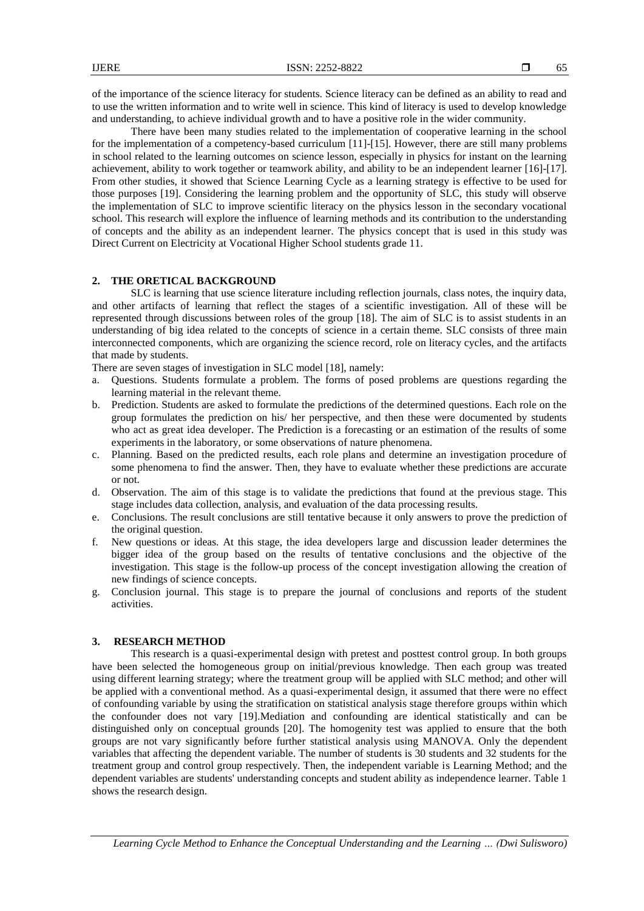of the importance of the science literacy for students. Science literacy can be defined as an ability to read and to use the written information and to write well in science. This kind of literacy is used to develop knowledge and understanding, to achieve individual growth and to have a positive role in the wider community.

There have been many studies related to the implementation of cooperative learning in the school for the implementation of a competency-based curriculum [11]-[15]. However, there are still many problems in school related to the learning outcomes on science lesson, especially in physics for instant on the learning achievement, ability to work together or teamwork ability, and ability to be an independent learner [16]-[17]. From other studies, it showed that Science Learning Cycle as a learning strategy is effective to be used for those purposes [19]. Considering the learning problem and the opportunity of SLC, this study will observe the implementation of SLC to improve scientific literacy on the physics lesson in the secondary vocational school. This research will explore the influence of learning methods and its contribution to the understanding of concepts and the ability as an independent learner. The physics concept that is used in this study was Direct Current on Electricity at Vocational Higher School students grade 11.

#### **2. THE ORETICAL BACKGROUND**

SLC is learning that use science literature including reflection journals, class notes, the inquiry data, and other artifacts of learning that reflect the stages of a scientific investigation. All of these will be represented through discussions between roles of the group [18]. The aim of SLC is to assist students in an understanding of big idea related to the concepts of science in a certain theme. SLC consists of three main interconnected components, which are organizing the science record, role on literacy cycles, and the artifacts that made by students.

There are seven stages of investigation in SLC model [18], namely:

- a. Questions. Students formulate a problem. The forms of posed problems are questions regarding the learning material in the relevant theme.
- b. Prediction. Students are asked to formulate the predictions of the determined questions. Each role on the group formulates the prediction on his/ her perspective, and then these were documented by students who act as great idea developer. The Prediction is a forecasting or an estimation of the results of some experiments in the laboratory, or some observations of nature phenomena.
- c. Planning. Based on the predicted results, each role plans and determine an investigation procedure of some phenomena to find the answer. Then, they have to evaluate whether these predictions are accurate or not.
- d. Observation. The aim of this stage is to validate the predictions that found at the previous stage. This stage includes data collection, analysis, and evaluation of the data processing results.
- e. Conclusions. The result conclusions are still tentative because it only answers to prove the prediction of the original question.
- f. New questions or ideas. At this stage, the idea developers large and discussion leader determines the bigger idea of the group based on the results of tentative conclusions and the objective of the investigation. This stage is the follow-up process of the concept investigation allowing the creation of new findings of science concepts.
- g. Conclusion journal. This stage is to prepare the journal of conclusions and reports of the student activities.

### **3. RESEARCH METHOD**

This research is a quasi-experimental design with pretest and posttest control group. In both groups have been selected the homogeneous group on initial/previous knowledge. Then each group was treated using different learning strategy; where the treatment group will be applied with SLC method; and other will be applied with a conventional method. As a quasi-experimental design, it assumed that there were no effect of confounding variable by using the stratification on statistical analysis stage therefore groups within which the confounder does not vary [19].Mediation and confounding are identical statistically and can be distinguished only on conceptual grounds [20]. The homogenity test was applied to ensure that the both groups are not vary significantly before further statistical analysis using MANOVA. Only the dependent variables that affecting the dependent variable. The number of students is 30 students and 32 students for the treatment group and control group respectively. Then, the independent variable is Learning Method; and the dependent variables are students' understanding concepts and student ability as independence learner. Table 1 shows the research design.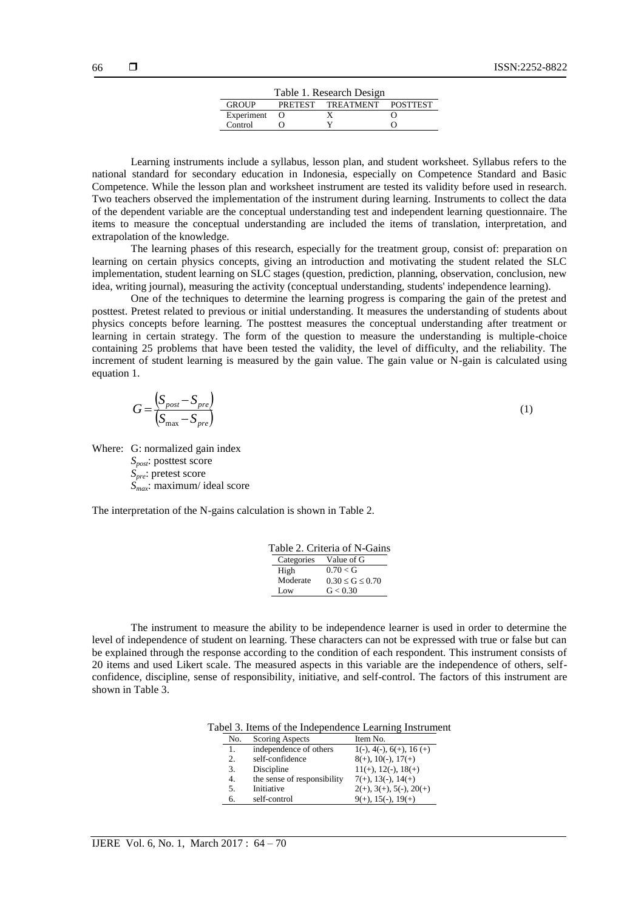| Table 1. Research Design                   |  |  |  |  |  |  |  |
|--------------------------------------------|--|--|--|--|--|--|--|
| <b>GROUP</b><br>PRETEST TREATMENT POSTTEST |  |  |  |  |  |  |  |
| Experiment                                 |  |  |  |  |  |  |  |
| Control                                    |  |  |  |  |  |  |  |

Learning instruments include a syllabus, lesson plan, and student worksheet. Syllabus refers to the national standard for secondary education in Indonesia, especially on Competence Standard and Basic Competence. While the lesson plan and worksheet instrument are tested its validity before used in research. Two teachers observed the implementation of the instrument during learning. Instruments to collect the data of the dependent variable are the conceptual understanding test and independent learning questionnaire. The items to measure the conceptual understanding are included the items of translation, interpretation, and extrapolation of the knowledge.

The learning phases of this research, especially for the treatment group, consist of: preparation on learning on certain physics concepts, giving an introduction and motivating the student related the SLC implementation, student learning on SLC stages (question, prediction, planning, observation, conclusion, new idea, writing journal), measuring the activity (conceptual understanding, students' independence learning).

One of the techniques to determine the learning progress is comparing the gain of the pretest and posttest. Pretest related to previous or initial understanding. It measures the understanding of students about physics concepts before learning. The posttest measures the conceptual understanding after treatment or learning in certain strategy. The form of the question to measure the understanding is multiple-choice containing 25 problems that have been tested the validity, the level of difficulty, and the reliability. The increment of student learning is measured by the gain value. The gain value or N-gain is calculated using equation 1.

$$
G = \frac{\left(S_{post} - S_{pre}\right)}{\left(S_{max} - S_{pre}\right)}\tag{1}
$$

Where: G: normalized gain index

*Spost*: posttest score *Spre*: pretest score *Smax*: maximum/ ideal score

The interpretation of the N-gains calculation is shown in Table 2.

|          | Table 2. Criteria of N-Gains |
|----------|------------------------------|
|          | Categories Value of G        |
| High     | 0.70 < G                     |
| Moderate | $0.30 \le G \le 0.70$        |
| Low      | G < 0.30                     |

The instrument to measure the ability to be independence learner is used in order to determine the level of independence of student on learning. These characters can not be expressed with true or false but can be explained through the response according to the condition of each respondent. This instrument consists of 20 items and used Likert scale. The measured aspects in this variable are the independence of others, selfconfidence, discipline, sense of responsibility, initiative, and self-control. The factors of this instrument are shown in Table 3.

Tabel 3. Items of the Independence Learning Instrument

| independence of others<br>1(-), 4(-), $6(+)$ , 16(+)<br>1.<br>$8(+), 10(-), 17(+)$<br>self-confidence<br>2.<br>$11(+), 12(-), 18(+)$<br>Discipline<br>3.<br>the sense of responsibility<br>$7(+), 13(-), 14(+)$<br>4.<br>$2(+), 3(+), 5(-), 20(+)$<br>Initiative<br>5. | No. | Scoring Aspects | Item No. |
|------------------------------------------------------------------------------------------------------------------------------------------------------------------------------------------------------------------------------------------------------------------------|-----|-----------------|----------|
|                                                                                                                                                                                                                                                                        |     |                 |          |
|                                                                                                                                                                                                                                                                        |     |                 |          |
|                                                                                                                                                                                                                                                                        |     |                 |          |
|                                                                                                                                                                                                                                                                        |     |                 |          |
|                                                                                                                                                                                                                                                                        |     |                 |          |
| self-control<br>$9(+), 15(-), 19(+)$<br>6.                                                                                                                                                                                                                             |     |                 |          |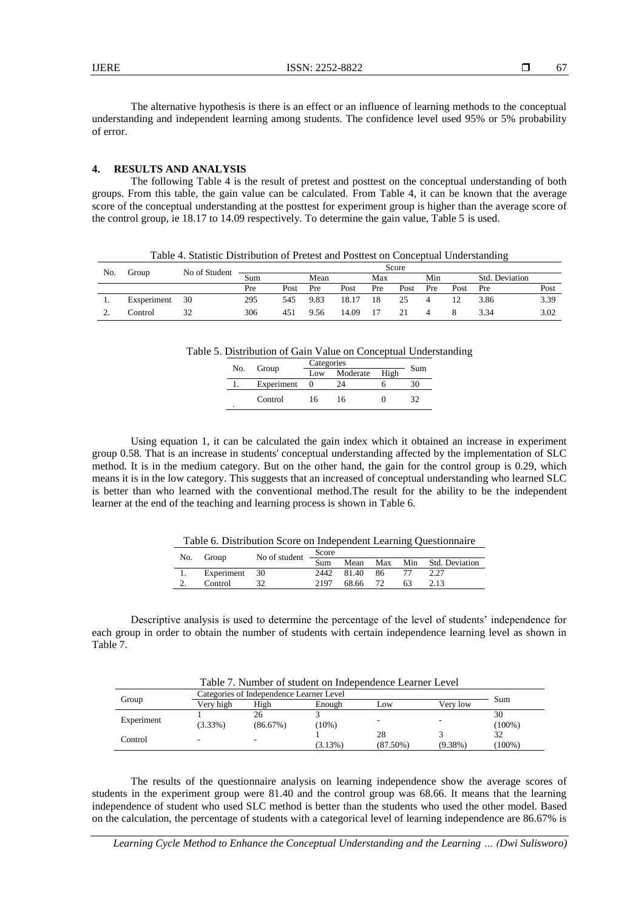The alternative hypothesis is there is an effect or an influence of learning methods to the conceptual understanding and independent learning among students. The confidence level used 95% or 5% probability of error.

#### **4. RESULTS AND ANALYSIS**

The following Table 4 is the result of pretest and posttest on the conceptual understanding of both groups. From this table, the gain value can be calculated. From Table 4, it can be known that the average score of the conceptual understanding at the posttest for experiment group is higher than the average score of the control group, ie 18.17 to 14.09 respectively. To determine the gain value, Table 5 is used.

| Table 4. Statistic Distribution of Pretest and Posttest on Conceptual Understanding |             |               |       |      |      |       |     |      |     |      |                |      |
|-------------------------------------------------------------------------------------|-------------|---------------|-------|------|------|-------|-----|------|-----|------|----------------|------|
| No.                                                                                 |             |               | Score |      |      |       |     |      |     |      |                |      |
|                                                                                     | Group       | No of Student | Sum   |      | Mean |       | Max |      | Min |      | Std. Deviation |      |
|                                                                                     |             |               | Pre   | Post | Pre  | Post  | Pre | Post | Pre | Post | <b>Pre</b>     | Post |
|                                                                                     | Exsperiment | 30            | 295   | 545  | 9.83 | 18.17 | 18  | -25  |     |      | 3.86           | 3.39 |
|                                                                                     | Control     |               | 306   | 451  | 9.56 | 14.09 | 17  | 21   |     |      | 3.34           | 3.02 |

| No. | Group      | Categories | Sum      |      |  |  |
|-----|------------|------------|----------|------|--|--|
|     |            | Low        | Moderate | High |  |  |
|     | Experiment |            | 24       |      |  |  |
| ٠   | Control    | $\sqrt{2}$ | 16       |      |  |  |

Using equation 1, it can be calculated the gain index which it obtained an increase in experiment group 0.58. That is an increase in students' conceptual understanding affected by the implementation of SLC method. It is in the medium category. But on the other hand, the gain for the control group is 0.29, which means it is in the low category. This suggests that an increased of conceptual understanding who learned SLC is better than who learned with the conventional method.The result for the ability to be the independent learner at the end of the teaching and learning process is shown in Table 6.

Table 6. Distribution Score on Independent Learning Questionnaire

| No. | Group         | No of student | Score |               |  |    |                                 |
|-----|---------------|---------------|-------|---------------|--|----|---------------------------------|
|     |               |               |       |               |  |    | Sum Mean Max Min Std. Deviation |
| 1.  | Experiment 30 |               |       | 2442 81.40 86 |  |    | 2.27                            |
|     | Control       |               | 2197  | 68.66 72      |  | 63 | 2.13                            |

Descriptive analysis is used to determine the percentage of the level of students' independence for each group in order to obtain the number of students with certain independence learning level as shown in Table 7.

|            | Categories of Independence Learner Level | Sum            |            |                   |            |                 |  |
|------------|------------------------------------------|----------------|------------|-------------------|------------|-----------------|--|
| Group      | Verv high                                | High           | Enough     | Low               | Verv low   |                 |  |
| Experiment | $(3.33\%)$                               | 26<br>(86.67%) | $(10\%)$   |                   |            | 30<br>$(100\%)$ |  |
| Control    | ۰                                        |                | $(3.13\%)$ | 28<br>$(87.50\%)$ | $(9.38\%)$ | 32<br>$(100\%)$ |  |

The results of the questionnaire analysis on learning independence show the average scores of students in the experiment group were 81.40 and the control group was 68.66. It means that the learning independence of student who used SLC method is better than the students who used the other model. Based on the calculation, the percentage of students with a categorical level of learning independence are 86.67% is

*Learning Cycle Method to Enhance the Conceptual Understanding and the Learning … (Dwi Sulisworo)*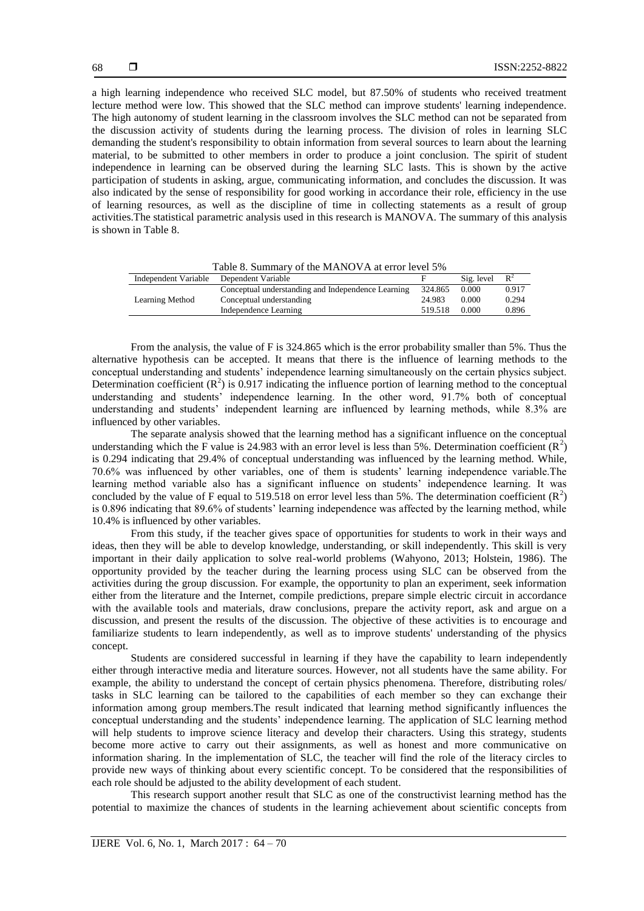a high learning independence who received SLC model, but 87.50% of students who received treatment lecture method were low. This showed that the SLC method can improve students' learning independence. The high autonomy of student learning in the classroom involves the SLC method can not be separated from the discussion activity of students during the learning process. The division of roles in learning SLC demanding the student's responsibility to obtain information from several sources to learn about the learning material, to be submitted to other members in order to produce a joint conclusion. The spirit of student independence in learning can be observed during the learning SLC lasts. This is shown by the active participation of students in asking, argue, communicating information, and concludes the discussion. It was also indicated by the sense of responsibility for good working in accordance their role, efficiency in the use of learning resources, as well as the discipline of time in collecting statements as a result of group activities.The statistical parametric analysis used in this research is MANOVA. The summary of this analysis is shown in Table 8.

| T ably 6. Summary 01 the MATVO $\bm{v}$ at error fever 370 |                                                    |         |            |       |  |  |  |
|------------------------------------------------------------|----------------------------------------------------|---------|------------|-------|--|--|--|
| Independent Variable                                       | Dependent Variable                                 |         | Sig. level | $R^2$ |  |  |  |
| Learning Method                                            | Conceptual understanding and Independence Learning | 324.865 | 0.000      | 0.917 |  |  |  |
|                                                            | Conceptual understanding                           | 24.983  | 0.000      | 0.294 |  |  |  |
|                                                            | Independence Learning                              | 519.518 | 0.000      | 0.896 |  |  |  |
|                                                            |                                                    |         |            |       |  |  |  |

Table 8. Summary of the MANOVA at error level 5%

From the analysis, the value of F is 324.865 which is the error probability smaller than 5%. Thus the alternative hypothesis can be accepted. It means that there is the influence of learning methods to the conceptual understanding and students' independence learning simultaneously on the certain physics subject. Determination coefficient  $(R^2)$  is 0.917 indicating the influence portion of learning method to the conceptual understanding and students' independence learning. In the other word, 91.7% both of conceptual understanding and students' independent learning are influenced by learning methods, while 8.3% are influenced by other variables.

The separate analysis showed that the learning method has a significant influence on the conceptual understanding which the F value is 24.983 with an error level is less than 5%. Determination coefficient  $(R^2)$ is 0.294 indicating that 29.4% of conceptual understanding was influenced by the learning method. While, 70.6% was influenced by other variables, one of them is students' learning independence variable.The learning method variable also has a significant influence on students' independence learning. It was concluded by the value of F equal to 519.518 on error level less than 5%. The determination coefficient  $(R^2)$ is 0.896 indicating that 89.6% of students' learning independence was affected by the learning method, while 10.4% is influenced by other variables.

From this study, if the teacher gives space of opportunities for students to work in their ways and ideas, then they will be able to develop knowledge, understanding, or skill independently. This skill is very important in their daily application to solve real-world problems (Wahyono, 2013; Holstein, 1986). The opportunity provided by the teacher during the learning process using SLC can be observed from the activities during the group discussion. For example, the opportunity to plan an experiment, seek information either from the literature and the Internet, compile predictions, prepare simple electric circuit in accordance with the available tools and materials, draw conclusions, prepare the activity report, ask and argue on a discussion, and present the results of the discussion. The objective of these activities is to encourage and familiarize students to learn independently, as well as to improve students' understanding of the physics concept.

Students are considered successful in learning if they have the capability to learn independently either through interactive media and literature sources. However, not all students have the same ability. For example, the ability to understand the concept of certain physics phenomena. Therefore, distributing roles/ tasks in SLC learning can be tailored to the capabilities of each member so they can exchange their information among group members.The result indicated that learning method significantly influences the conceptual understanding and the students' independence learning. The application of SLC learning method will help students to improve science literacy and develop their characters. Using this strategy, students become more active to carry out their assignments, as well as honest and more communicative on information sharing. In the implementation of SLC, the teacher will find the role of the literacy circles to provide new ways of thinking about every scientific concept. To be considered that the responsibilities of each role should be adjusted to the ability development of each student.

This research support another result that SLC as one of the constructivist learning method has the potential to maximize the chances of students in the learning achievement about scientific concepts from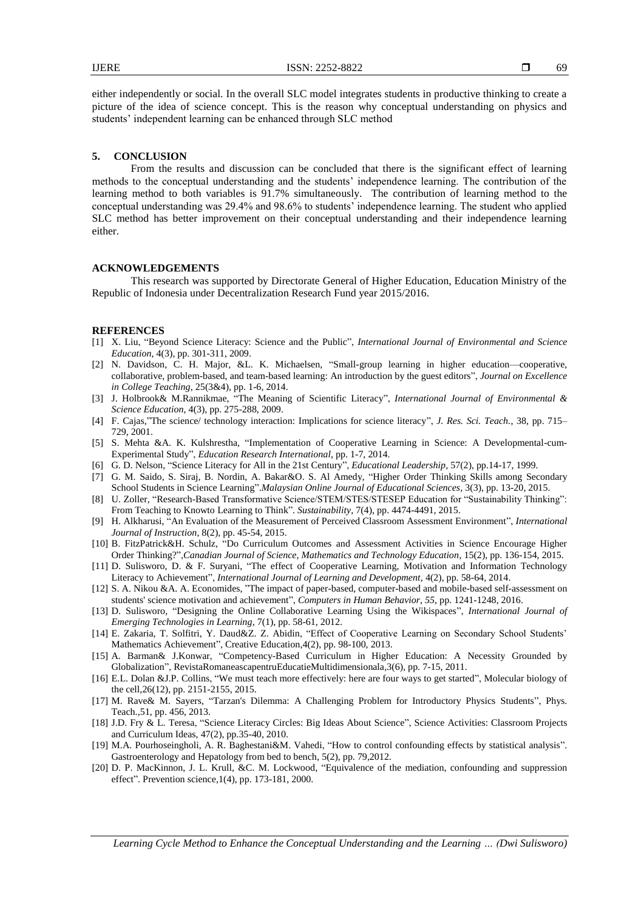either independently or social. In the overall SLC model integrates students in productive thinking to create a picture of the idea of science concept. This is the reason why conceptual understanding on physics and students' independent learning can be enhanced through SLC method

## **5. CONCLUSION**

From the results and discussion can be concluded that there is the significant effect of learning methods to the conceptual understanding and the students' independence learning. The contribution of the learning method to both variables is 91.7% simultaneously. The contribution of learning method to the conceptual understanding was 29.4% and 98.6% to students' independence learning. The student who applied SLC method has better improvement on their conceptual understanding and their independence learning either.

#### **ACKNOWLEDGEMENTS**

This research was supported by Directorate General of Higher Education, Education Ministry of the Republic of Indonesia under Decentralization Research Fund year 2015/2016.

#### **REFERENCES**

- [1] X. Liu, "Beyond Science Literacy: Science and the Public", *International Journal of Environmental and Science Education*, 4(3), pp. 301-311, 2009.
- [2] N. Davidson, C. H. Major, &L. K. Michaelsen, "Small-group learning in higher education—cooperative, collaborative, problem-based, and team-based learning: An introduction by the guest editors", *Journal on Excellence in College Teaching*, 25(3&4), pp. 1-6, 2014.
- [3] J. Holbrook& M.Rannikmae, "The Meaning of Scientific Literacy", *International Journal of Environmental & Science Education*, 4(3), pp. 275-288, 2009.
- [4] F. Cajas,"The science/ technology interaction: Implications for science literacy", *J. Res. Sci. Teach.*, 38, pp. 715– 729, 2001.
- [5] S. Mehta &A. K. Kulshrestha, "Implementation of Cooperative Learning in Science: A Developmental-cum-Experimental Study‖, *Education Research International*, pp. 1-7, 2014.
- [6] G. D. Nelson, "Science Literacy for All in the 21st Century", *Educational Leadership*, 57(2), pp.14-17, 1999.
- [7] G. M. Saido, S. Siraj, B. Nordin, A. Bakar&O. S. Al Amedy, "Higher Order Thinking Skills among Secondary School Students in Science Learning‖.*Malaysian Online Journal of Educational Sciences*, 3(3), pp. 13-20, 2015.
- [8] U. Zoller, "Research-Based Transformative Science/STEM/STES/STESEP Education for "Sustainability Thinking": From Teaching to Knowto Learning to Think". *Sustainability*, 7(4), pp. 4474-4491, 2015.
- [9] H. Alkharusi, "An Evaluation of the Measurement of Perceived Classroom Assessment Environment", *International Journal of Instruction*, 8(2), pp. 45-54, 2015.
- [10] B. FitzPatrick&H. Schulz, "Do Curriculum Outcomes and Assessment Activities in Science Encourage Higher Order Thinking?",*Canadian Journal of Science, Mathematics and Technology Education*, 15(2), pp. 136-154, 2015.
- [11] D. Sulisworo, D. & F. Suryani, "The effect of Cooperative Learning, Motivation and Information Technology Literacy to Achievement", *International Journal of Learning and Development*, 4(2), pp. 58-64, 2014.
- [12] S. A. Nikou &A. A. Economides, "The impact of paper-based, computer-based and mobile-based self-assessment on students' science motivation and achievement", *Computers in Human Behavior*, 55, pp. 1241-1248, 2016.
- [13] D. Sulisworo, "Designing the Online Collaborative Learning Using the Wikispaces", *International Journal of Emerging Technologies in Learning*, 7(1), pp. 58-61, 2012.
- [14] E. Zakaria, T. Solfitri, Y. Daud&Z. Z. Abidin, "Effect of Cooperative Learning on Secondary School Students' Mathematics Achievement", Creative Education, 4(2), pp. 98-100, 2013.
- [15] A. Barman& J.Konwar, "Competency-Based Curriculum in Higher Education: A Necessity Grounded by Globalization", RevistaRomaneascapentruEducatieMultidimensionala,3(6), pp. 7-15, 2011.
- [16] E.L. Dolan &J.P. Collins, "We must teach more effectively: here are four ways to get started", Molecular biology of the cell,26(12), pp. 2151-2155, 2015.
- [17] M. Rave& M. Sayers, "Tarzan's Dilemma: A Challenging Problem for Introductory Physics Students", Phys. Teach.,51, pp. 456, 2013.
- [18] J.D. Fry & L. Teresa, "Science Literacy Circles: Big Ideas About Science", Science Activities: Classroom Projects and Curriculum Ideas, 47(2), pp.35-40, 2010.
- [19] M.A. Pourhoseingholi, A. R. Baghestani&M. Vahedi, "How to control confounding effects by statistical analysis". Gastroenterology and Hepatology from bed to bench, 5(2), pp. 79,2012.
- [20] D. P. MacKinnon, J. L. Krull, &C. M. Lockwood, "Equivalence of the mediation, confounding and suppression effect". Prevention science,  $1(4)$ , pp. 173-181, 2000.